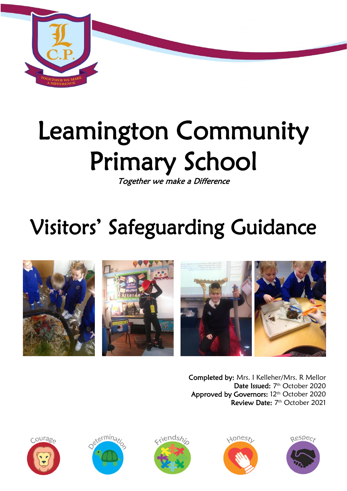

# Leamington Community Primary School

Together we make a Difference

## Visitors' Safeguarding Guidance



Completed by: Mrs. I Kelleher/Mrs. R Mellor Date Issued: 7<sup>th</sup> October 2020 Approved by Governors: 12<sup>th</sup> October 2020 Review Date: 7<sup>th</sup> October 2021









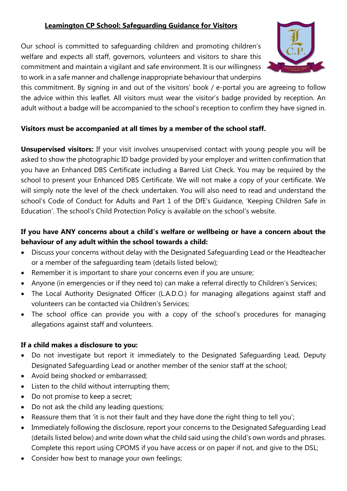#### **Leamington CP School: Safeguarding Guidance for Visitors**

Our school is committed to safeguarding children and promoting children's welfare and expects all staff, governors, volunteers and visitors to share this commitment and maintain a vigilant and safe environment. It is our willingness to work in a safe manner and challenge inappropriate behaviour that underpins



this commitment. By signing in and out of the visitors' book / e-portal you are agreeing to follow the advice within this leaflet. All visitors must wear the visitor's badge provided by reception. An adult without a badge will be accompanied to the school's reception to confirm they have signed in.

#### **Visitors must be accompanied at all times by a member of the school staff.**

**Unsupervised visitors:** If your visit involves unsupervised contact with young people you will be asked to show the photographic ID badge provided by your employer and written confirmation that you have an Enhanced DBS Certificate including a Barred List Check. You may be required by the school to present your Enhanced DBS Certificate. We will not make a copy of your certificate. We will simply note the level of the check undertaken. You will also need to read and understand the school's Code of Conduct for Adults and Part 1 of the DfE's Guidance, 'Keeping Children Safe in Education'. The school's Child Protection Policy is available on the school's website.

### **If you have ANY concerns about a child's welfare or wellbeing or have a concern about the behaviour of any adult within the school towards a child:**

- Discuss your concerns without delay with the Designated Safeguarding Lead or the Headteacher or a member of the safeguarding team (details listed below);
- Remember it is important to share your concerns even if you are unsure;
- Anyone (in emergencies or if they need to) can make a referral directly to Children's Services;
- The Local Authority Designated Officer (L.A.D.O.) for managing allegations against staff and volunteers can be contacted via Children's Services;
- The school office can provide you with a copy of the school's procedures for managing allegations against staff and volunteers.

#### **If a child makes a disclosure to you:**

- Do not investigate but report it immediately to the Designated Safeguarding Lead, Deputy Designated Safeguarding Lead or another member of the senior staff at the school;
- Avoid being shocked or embarrassed;
- Listen to the child without interrupting them;
- Do not promise to keep a secret;
- Do not ask the child any leading questions;
- Reassure them that 'it is not their fault and they have done the right thing to tell you';
- Immediately following the disclosure, report your concerns to the Designated Safeguarding Lead (details listed below) and write down what the child said using the child's own words and phrases. Complete this report using CPOMS if you have access or on paper if not, and give to the DSL;
- Consider how best to manage your own feelings;